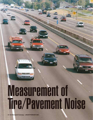# Measurement of Tire/Pavement Noise

**34 • Hot Mix Asphalt Technology – JANUARY/FEBRUARY 2005**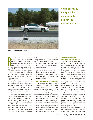

**Sound caused by transportation systems is the number one noise complaint.**

**Figure 1 – Wayside measurements**

esearch in Europe and in the<br>United States has indicated<br>that it is possible to build pave-<br>ment surfaces that will provide<br>low-noise roadways. The<br>National Center for Asphalt Technolesearch in Europe and in the United States has indicated that it is possible to build pavement surfaces that will provide low-noise roadways. The ogy (NCAT) has initiated a study to develop a pavement selection guide or design manual for use by the DOTs and others to design low-noise Hot Mix Asphalt (HMA) pavement wearing courses.

Throughout the world, sound caused by transportation systems is the number one noise complaint. Highway noise is one of the prime offenders. Engine (power train), exhaust, aerodynamic, and pavement/tire noise all contribute to traffic noise.

It has been shown that modification of pavement surface type and/or texture can result in significant tire/pavement noise reductions. European highway agencies have found that the proper selection of the pavement surface can be an appropriate noise abatement procedure. Specifically, they have identified that a low-noise road surface can be built at the same time considering safety, durability and cost using one of the following approaches:

- 1. A surface with a smooth surface texture using small maximumsize aggregate.
- 2. A porous surface, such as an open graded friction course (OGFC) with a high air void content.
- 3. A wearing surface with an inherently low stiffness at the tire/pavement interface.

#### **Field measurement of road noise**

To be able to study traffic noise it is necessary to have a scientifically reliable method for measuring the acoustical characteristics of pavement surfaces in the field. Two concepts are currently being used for the measurement of roadway noise:

- 1. Far-field or wayside measurements where the noise level is measured by microphones that are placed along the side of the roadway.
- 2. Near-field or close-proximity techniques (CPX) where the noise level is measured by microphones placed near the tire/pavement interface.

#### **Far-field or wayside measurement procedures**

Far-field or wayside studies use three approaches: statistical bypass, controlled by-pass and timeaveraged procedures. All of these procedures consist of placing microphones at a defined distance from the vehicle path at the side of the roadway. For research purposes the statistical by-pass and the controlled by-pass procedures are the most commonly used. The timeaveraged procedure is the most commonly used for doing traffic noise studies associated with the design or major widening of a highway project. Figure 1 shows a typical set up for wayside measurements.

The statistical by-pass procedure calls for placing microphones a specified distance from the roadway and height above the roadway. In Europe the standard is 25 feet from the center of the vehicle lane at a height of 4 feet above the pavement *(2)*. In the United States the standard as defined by the Federal Highway Administration *(3)* is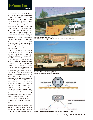### Tire/Pavement Noise **continued**

50 feet away and five feet above the roadway. Both procedures call for the measurement of the noise characteristics of a specified number of vehicles. In Europe the requirement is for 180 vehicles to be measured for noise (100 automobiles and 80 dual-axle and multi-axle trucks). The FHWA procedure does not specifically state the number of vehicles required for a valid sample. It states that the number of samples is somewhat arbitrary and is often a function of budgetary limitations. But, the procedure does provide some guidance. For example, if the traffic speed is 51 to 60 mph, the minimum number of samples recommended is 200.

Strict rules exist for both the European and US procedures at a test site. The section of highway being tested must be essentially straight and level. There is a limit on the background noise and no acoustically reflective surfaces can be within 30 feet of the microphone measuring the noise levels. There are also strict requirements on the weather conditions – especially wind speed and direction. The vehicles must be traveling at a constant speed through the testing zone. The procedure requires that the noise from only one vehicle is measured at a time. The noise level from all of the vehicles is acoustically summed to provide a Statistical By-Pass Index (SBPI). These vehicle restrictions limit the use of this procedure on high volume multilane highways. Even if the same mix of vehicles is used the results may vary due to differences in vehicle tires. Thus, this procedure has limited usage for comparing different pavement types.

In the single vehicle pass-by method, noise from cars and light trucks is typically measured at a specially designed test site. There is no standardized test procedure for



**Figure 2 – Finnish CPX Noise Trailer The NCAT trailer is being used to measure road noise close to its source.**



**Figure 3 – NCAT close proximity trailer Measuring road noise at a standard distance.**



**Figure 4 – Diagram showing microphone locations in NCAT CPX Trailer**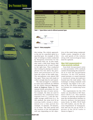## Tire/Pavement Noise **continued**

| <b>Type of Surface</b>              | <b>No. Sites</b><br><b>Tested</b> | Level $(dB(A))$ | <b>Average Noise Maximum Noise Lowest Noise</b><br>(dB(A)) | <b>Level Measured Level Measured</b><br>(dB(A) |
|-------------------------------------|-----------------------------------|-----------------|------------------------------------------------------------|------------------------------------------------|
| <b>Transverse-tined PCC</b>         | 25                                | 103.6           | 106.5                                                      | 100.6                                          |
| Longitudinally tined PCC            | 15                                | 99.8            | 103.6                                                      | 98.1                                           |
| Diamond-ground PCC                  | 12                                | 98.9            | 101.0                                                      | 97.0                                           |
| Dense-graded HMA                    | 76                                | 97.1            | 101.0                                                      | 93.0                                           |
| <b>Stone Matrix Asphalt</b>         | 22                                | 98.0            | 101.0                                                      | 95.0                                           |
| Coarse-graded OGFC (5/8 inch minus) | 29                                | 97.0            | 99.1                                                       | 92.6                                           |
| Fine-graded OGFC (3/8 inch minus)   | 10                                | 92.6            | 93.9                                                       | 90.9                                           |
|                                     |                                   |                 |                                                            |                                                |

| Table 1 - Typical Noise Levels for different pavement types |
|-------------------------------------------------------------|
|-------------------------------------------------------------|



**Figure 5 – Noise propagation**

this testing. The vehicle approaches the site at a specified speed in a specified gear. An example of this type of testing is a study conducted by Marquette University for the Wisconsin DOT (*4*). In this study, they used a 1996 Ford Taurus that was operated at 60, 65 and 70 mph in the right lane. They conducted their testing by placing two microphones five feet above the pavement and positioned at 25 feet from the center of the traffic lane. The microphones were placed 200 feet apart. Three runs were made to collect enough data for each speed.

The time-averaged or community noise level methods are defined by the FHWA Manual **Measurement of Highway Noise** *(3)*. This manual details procedures for conducting this type of noise survey. For example, the data are used to determine the community-noise exposure level  $(L_{den})$  and the daynight average sound level  $(L_{dn})$ . In this method, the noise level of an existing traffic stream is determined over a time period (for example, 15 minutes, 30 minutes, or an hour). The time period and the location of the microphones will vary depending on the objec-

tives of the study being conducted. Traffic counts, categories of vehicles, and speeds of the vehicles along with meteorological data must be captured.

#### **Near-field measurements or close-proximity methods**

Near-field tire/pavement noise or close-proximity (CPX) methods consist of measuring the sound levels at or near the tire/pavement interface. In the CPX method, sound pressure or sound intensity is measured using microphones located near the road surface. This technique is being routinely used in Europe. See Figure 2 for a picture of the CPX device being used in Finland for conducting noise studies.

The requirements for the CPX trailer are described in ISO Standard 11819-2 (*5*). This method consists of placing microphones near the tire/pavement interface to directly measure tire/pavement noise levels. In 2002, NCAT built two CPX trailers, one for the Arizona Department of Transportation and one for use by NCAT. A picture of the NCAT trailer is shown in Figure 3.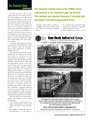# Tire/Pavement Noise

The ISO Standard calls for the measurement of sound pressure. The microphones are mounted eight inches from the center of the tire and four inches above the surface of the pavement (see Figure 4). The microphones are mounted inside an acoustical chamber to isolate the sound from passing traffic. The acoustical chamber is required because sound pressure microphones will measure the sound from all directions and thus, there is a need to isolate the sound from other traffic and sound reflective surfaces.

A concern with regard to the use of near-field measurements is that they measure only the tire/pavement noise component of trafficrelated noise (*1*).

The standard method recommended by the FHWA is the statistical pass by method or the time-averaged procedures. These methods were selected because they measure both the power train and tire/pavement noise. Both the power train and tire/pavement noise are strongly related to vehicle speed. Work done in Europe has indicated that there is a crossover speed for constant-speed driving of about 25 to 30 mph for cars and about 35 to 45 mph for trucks (*2*). At speeds less than 25 to 30 mph for cars or 35 to 45 mph for trucks, the power train noise dominates; however, at higher speeds the tire/pavement noise is more prevalent. Therefore, it appears that the concept of measuring the noise level of roadways at the tire/pavement interface is valid for roadways having speed limits above 45 mph.

The near-field test or close-proximity procedures offer many advantages:

- 1. The ability to determine the noise characteristics of the road surface at almost any arbitrary site.
- 2. The ability to check the state of maintenance, i.e. the wear or

**continued The standard method used by the FHWA's Volpe Laboratories is the statistical pass-by method. This method was selected because it includes both the power train and tire/pavement noise.**

damage to the surface, as well as clogging of porous surfaces and the effect of cleaning clogged pores.

- 3. It is much more portable than the pass-by methods, requiring little setup prior to use.
- 4. The testing can be done on the



Designed for deep penetration heating, this system will not only provide a thermally bonded joint, it will allow for compaction of joint area of previously placed mat. It's like having no joint at all.

**RAY-TECH INFRARED 1-800-884-2072** 

198 Spring Field Road, Charlestown, NH 03603 · ray-tech.com